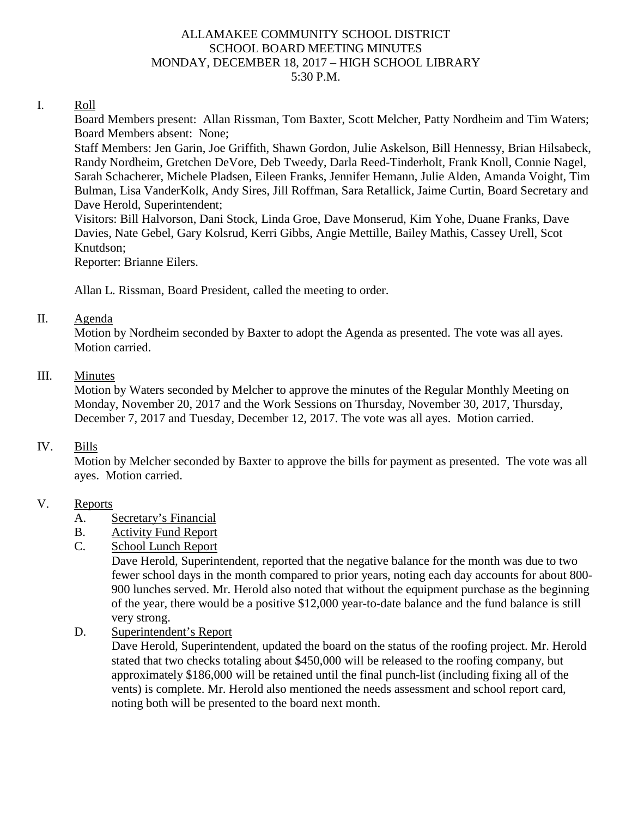#### ALLAMAKEE COMMUNITY SCHOOL DISTRICT SCHOOL BOARD MEETING MINUTES MONDAY, DECEMBER 18, 2017 – HIGH SCHOOL LIBRARY 5:30 P.M.

#### I. Roll

Board Members present: Allan Rissman, Tom Baxter, Scott Melcher, Patty Nordheim and Tim Waters; Board Members absent: None;

Staff Members: Jen Garin, Joe Griffith, Shawn Gordon, Julie Askelson, Bill Hennessy, Brian Hilsabeck, Randy Nordheim, Gretchen DeVore, Deb Tweedy, Darla Reed-Tinderholt, Frank Knoll, Connie Nagel, Sarah Schacherer, Michele Pladsen, Eileen Franks, Jennifer Hemann, Julie Alden, Amanda Voight, Tim Bulman, Lisa VanderKolk, Andy Sires, Jill Roffman, Sara Retallick, Jaime Curtin, Board Secretary and Dave Herold, Superintendent;

Visitors: Bill Halvorson, Dani Stock, Linda Groe, Dave Monserud, Kim Yohe, Duane Franks, Dave Davies, Nate Gebel, Gary Kolsrud, Kerri Gibbs, Angie Mettille, Bailey Mathis, Cassey Urell, Scot Knutdson;

Reporter: Brianne Eilers.

Allan L. Rissman, Board President, called the meeting to order.

#### II. Agenda

Motion by Nordheim seconded by Baxter to adopt the Agenda as presented. The vote was all ayes. Motion carried.

## III. Minutes

Motion by Waters seconded by Melcher to approve the minutes of the Regular Monthly Meeting on Monday, November 20, 2017 and the Work Sessions on Thursday, November 30, 2017, Thursday, December 7, 2017 and Tuesday, December 12, 2017. The vote was all ayes. Motion carried.

## IV. Bills

Motion by Melcher seconded by Baxter to approve the bills for payment as presented. The vote was all ayes. Motion carried.

## V. Reports

- A. Secretary's Financial
- B. Activity Fund Report
- C. School Lunch Report

Dave Herold, Superintendent, reported that the negative balance for the month was due to two fewer school days in the month compared to prior years, noting each day accounts for about 800- 900 lunches served. Mr. Herold also noted that without the equipment purchase as the beginning of the year, there would be a positive \$12,000 year-to-date balance and the fund balance is still very strong.

D. Superintendent's Report

Dave Herold, Superintendent, updated the board on the status of the roofing project. Mr. Herold stated that two checks totaling about \$450,000 will be released to the roofing company, but approximately \$186,000 will be retained until the final punch-list (including fixing all of the vents) is complete. Mr. Herold also mentioned the needs assessment and school report card, noting both will be presented to the board next month.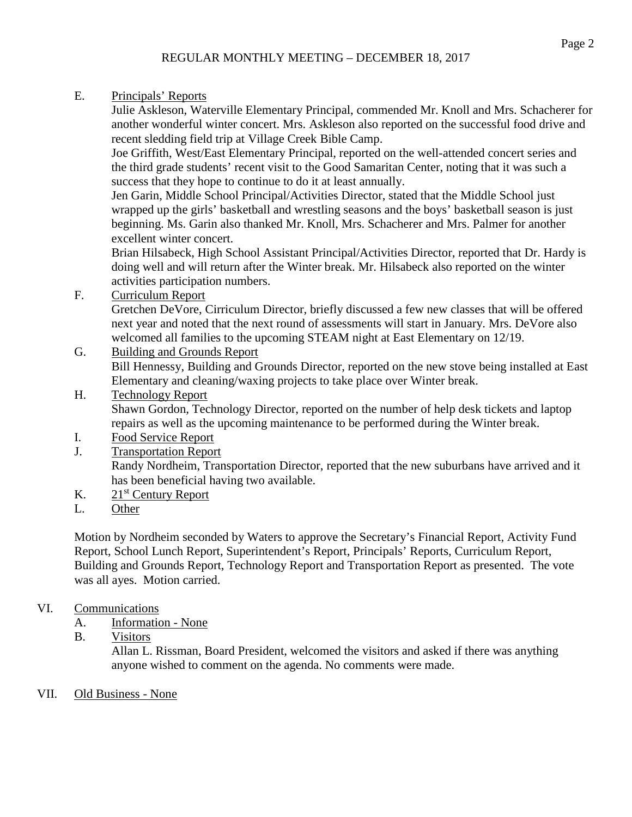E. Principals' Reports

Julie Askleson, Waterville Elementary Principal, commended Mr. Knoll and Mrs. Schacherer for another wonderful winter concert. Mrs. Askleson also reported on the successful food drive and recent sledding field trip at Village Creek Bible Camp.

Joe Griffith, West/East Elementary Principal, reported on the well-attended concert series and the third grade students' recent visit to the Good Samaritan Center, noting that it was such a success that they hope to continue to do it at least annually.

Jen Garin, Middle School Principal/Activities Director, stated that the Middle School just wrapped up the girls' basketball and wrestling seasons and the boys' basketball season is just beginning. Ms. Garin also thanked Mr. Knoll, Mrs. Schacherer and Mrs. Palmer for another excellent winter concert.

Brian Hilsabeck, High School Assistant Principal/Activities Director, reported that Dr. Hardy is doing well and will return after the Winter break. Mr. Hilsabeck also reported on the winter activities participation numbers.

F. Curriculum Report

Gretchen DeVore, Cirriculum Director, briefly discussed a few new classes that will be offered next year and noted that the next round of assessments will start in January. Mrs. DeVore also welcomed all families to the upcoming STEAM night at East Elementary on 12/19.

G. Building and Grounds Report

Bill Hennessy, Building and Grounds Director, reported on the new stove being installed at East Elementary and cleaning/waxing projects to take place over Winter break.

# H. Technology Report

Shawn Gordon, Technology Director, reported on the number of help desk tickets and laptop repairs as well as the upcoming maintenance to be performed during the Winter break.

- I. Food Service Report
- J. Transportation Report

Randy Nordheim, Transportation Director, reported that the new suburbans have arrived and it has been beneficial having two available.

- K.  $21<sup>st</sup>$  Century Report
- L. Other

Motion by Nordheim seconded by Waters to approve the Secretary's Financial Report, Activity Fund Report, School Lunch Report, Superintendent's Report, Principals' Reports, Curriculum Report, Building and Grounds Report, Technology Report and Transportation Report as presented. The vote was all ayes. Motion carried.

# VI. Communications

- A. Information None
- B. Visitors

Allan L. Rissman, Board President, welcomed the visitors and asked if there was anything anyone wished to comment on the agenda. No comments were made.

VII. Old Business - None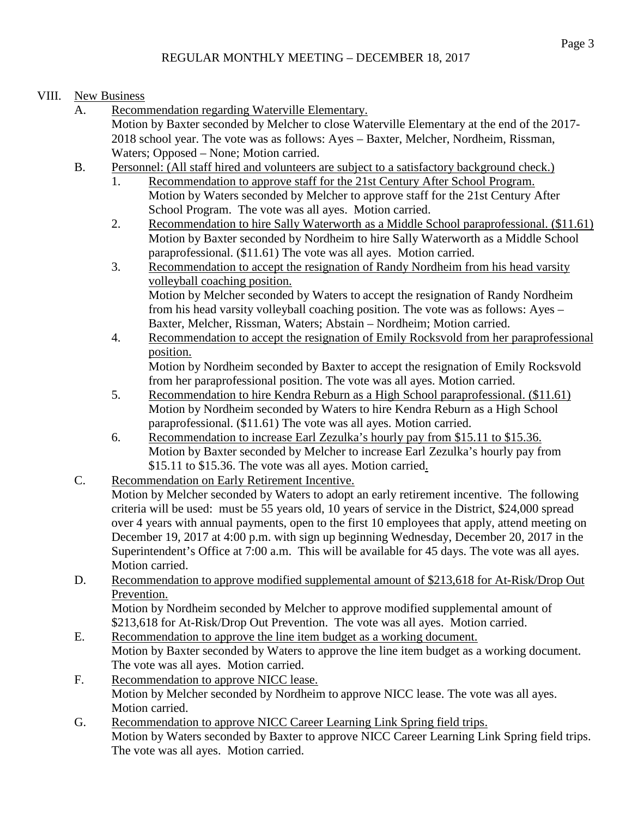- VIII. New Business
	- A. Recommendation regarding Waterville Elementary. Motion by Baxter seconded by Melcher to close Waterville Elementary at the end of the 2017- 2018 school year. The vote was as follows: Ayes – Baxter, Melcher, Nordheim, Rissman, Waters; Opposed – None; Motion carried.
	- B. Personnel: (All staff hired and volunteers are subject to a satisfactory background check.)
		- 1. Recommendation to approve staff for the 21st Century After School Program. Motion by Waters seconded by Melcher to approve staff for the 21st Century After School Program. The vote was all ayes. Motion carried.
		- 2. Recommendation to hire Sally Waterworth as a Middle School paraprofessional. (\$11.61) Motion by Baxter seconded by Nordheim to hire Sally Waterworth as a Middle School paraprofessional. (\$11.61) The vote was all ayes. Motion carried.
		- 3. Recommendation to accept the resignation of Randy Nordheim from his head varsity volleyball coaching position. Motion by Melcher seconded by Waters to accept the resignation of Randy Nordheim from his head varsity volleyball coaching position. The vote was as follows: Ayes – Baxter, Melcher, Rissman, Waters; Abstain – Nordheim; Motion carried.
		- 4. Recommendation to accept the resignation of Emily Rocksvold from her paraprofessional position. Motion by Nordheim seconded by Baxter to accept the resignation of Emily Rocksvold from her paraprofessional position. The vote was all ayes. Motion carried.
		- 5. Recommendation to hire Kendra Reburn as a High School paraprofessional. (\$11.61) Motion by Nordheim seconded by Waters to hire Kendra Reburn as a High School paraprofessional. (\$11.61) The vote was all ayes. Motion carried.
		- 6. Recommendation to increase Earl Zezulka's hourly pay from \$15.11 to \$15.36. Motion by Baxter seconded by Melcher to increase Earl Zezulka's hourly pay from \$15.11 to \$15.36. The vote was all ayes. Motion carried.
	- C. Recommendation on Early Retirement Incentive.

Motion by Melcher seconded by Waters to adopt an early retirement incentive. The following criteria will be used: must be 55 years old, 10 years of service in the District, \$24,000 spread over 4 years with annual payments, open to the first 10 employees that apply, attend meeting on December 19, 2017 at 4:00 p.m. with sign up beginning Wednesday, December 20, 2017 in the Superintendent's Office at 7:00 a.m. This will be available for 45 days. The vote was all ayes. Motion carried.

D. Recommendation to approve modified supplemental amount of \$213,618 for At-Risk/Drop Out Prevention.

Motion by Nordheim seconded by Melcher to approve modified supplemental amount of \$213,618 for At-Risk/Drop Out Prevention. The vote was all ayes. Motion carried.

- E. Recommendation to approve the line item budget as a working document. Motion by Baxter seconded by Waters to approve the line item budget as a working document. The vote was all ayes. Motion carried.
- F. Recommendation to approve NICC lease. Motion by Melcher seconded by Nordheim to approve NICC lease. The vote was all ayes. Motion carried.
- G. Recommendation to approve NICC Career Learning Link Spring field trips. Motion by Waters seconded by Baxter to approve NICC Career Learning Link Spring field trips. The vote was all ayes. Motion carried.